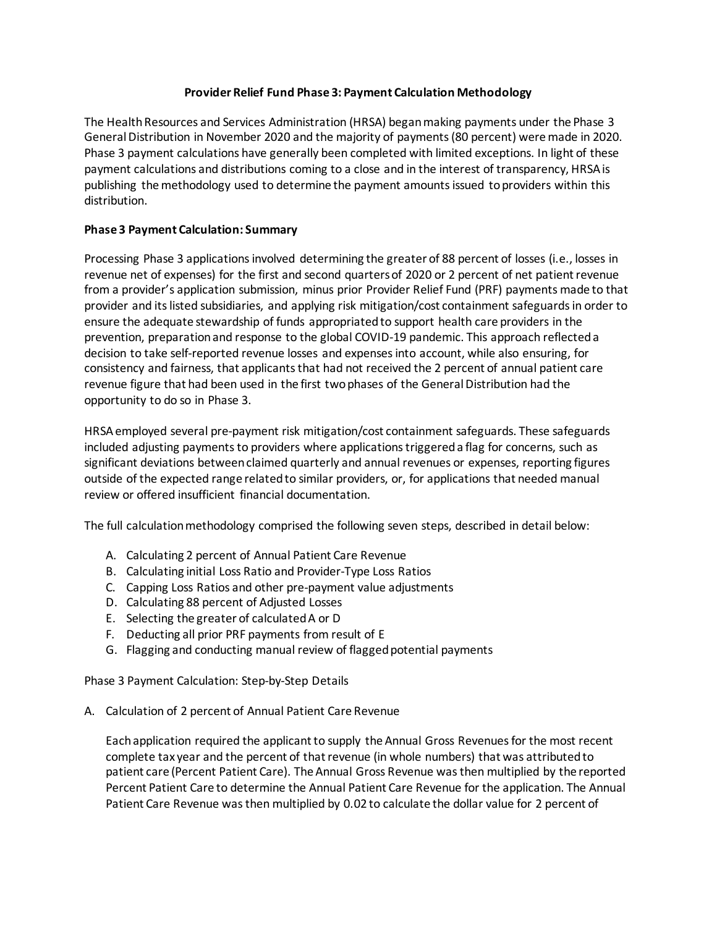# **Provider Relief Fund Phase 3: Payment Calculation Methodology**

The Health Resources and Services Administration (HRSA) began making payments under the Phase 3 General Distribution in November 2020 and the majority of payments (80 percent) were made in 2020. Phase 3 payment calculations have generally been completed with limited exceptions. In light of these payment calculations and distributions coming to a close and in the interest of transparency, HRSA is publishing the methodology used to determine the payment amounts issued to providers within this distribution.

# **Phase 3 Payment Calculation: Summary**

Processing Phase 3 applications involved determining the greater of 88 percent of losses (i.e., losses in revenue net of expenses) for the first and second quarters of 2020 or 2 percent of net patient revenue from a provider's application submission, minus prior Provider Relief Fund (PRF) payments made to that provider and its listed subsidiaries, and applying risk mitigation/cost containment safeguardsin order to ensure the adequate stewardship of funds appropriated to support health care providers in the prevention, preparation and response to the global COVID-19 pandemic. This approach reflected a decision to take self-reported revenue losses and expenses into account, while also ensuring, for consistency and fairness, that applicants that had not received the 2 percent of annual patient care revenue figure that had been used in the first two phases of the General Distribution had the opportunity to do so in Phase 3.

HRSA employed several pre-payment risk mitigation/cost containment safeguards. These safeguards included adjusting payments to providers where applications triggered a flag for concerns, such as significant deviations between claimed quarterly and annual revenues or expenses, reporting figures outside of the expected range related to similar providers, or, for applications that needed manual review or offered insufficient financial documentation.

The full calculation methodology comprised the following seven steps, described in detail below:

- A. Calculating 2 percent of Annual Patient Care Revenue
- B. Calculating initial Loss Ratio and Provider-Type Loss Ratios
- C. Capping Loss Ratios and other pre-payment value adjustments
- D. Calculating 88 percent of Adjusted Losses
- E. Selecting the greater of calculated A or D
- F. Deducting all prior PRF payments from result of E
- G. Flagging and conducting manual review of flagged potential payments

Phase 3 Payment Calculation: Step-by-Step Details

A. Calculation of 2 percent of Annual Patient Care Revenue

Each application required the applicant to supply the Annual Gross Revenues for the most recent complete tax year and the percent of that revenue (in whole numbers) that was attributed to patient care (Percent Patient Care). The Annual Gross Revenue was then multiplied by the reported Percent Patient Care to determine the Annual Patient Care Revenue for the application. The Annual Patient Care Revenue was then multiplied by 0.02 to calculate the dollar value for 2 percent of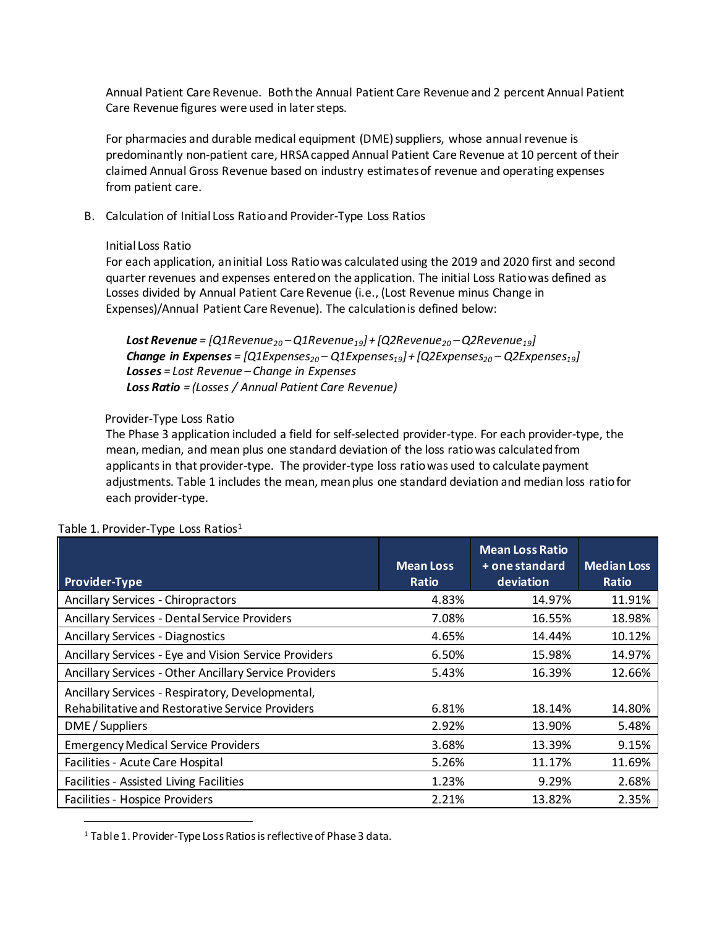Annual Patient Care Revenue. Both the Annual Patient Care Revenue and 2 percent Annual Patient Care Revenue figures were used in later steps.

For pharmacies and durable medical equipment (DME) suppliers, whose annual revenue is predominantly non-patient care, HRSA capped Annual Patient Care Revenue at 10 percent of their claimed Annual Gross Revenue based on industry estimates of revenue and operating expenses from patient care.

B. Calculation of Initial Loss Ratio and Provider-Type Loss Ratios

### Initial Loss Ratio

For each application, an initial Loss Ratio was calculatedusing the 2019 and 2020 first and second quarterrevenues and expenses entered on the application. The initial Loss Ratio was defined as Losses divided by Annual Patient Care Revenue (i.e., (Lost Revenue minus Change in Expenses)/Annual Patient Care Revenue). The calculation is defined below:

*Lost Revenue = [Q1Revenue20 – Q1Revenue19] + [Q2Revenue20 – Q2Revenue19]*  **Change in Expenses** =  $[Q1Express_{20} - Q1Express_{19}] + [Q2Express_{20} - Q2Express_{19}]$  *Losses = Lost Revenue – Change in Expenses Loss Ratio = (Losses / Annual Patient Care Revenue)*

## Provider-Type Loss Ratio

The Phase 3 application included a field for self-selected provider-type. For each provider-type, the mean, median, and mean plus one standard deviation of the loss ratio was calculated from applicants in that provider-type. The provider-type loss ratiowas used to calculate payment adjustments. Table 1 includes the mean, mean plus one standard deviation and median loss ratio for each provider-type.

| <b>Provider-Type</b>                                                                                 | <b>Mean Loss</b><br>Ratio | <b>Mean Loss Ratio</b><br>$+$ one standard<br>deviation | <b>Median Loss</b><br>Ratio |
|------------------------------------------------------------------------------------------------------|---------------------------|---------------------------------------------------------|-----------------------------|
| <b>Ancillary Services - Chiropractors</b>                                                            | 4.83%                     | 14.97%                                                  | 11.91%                      |
| <b>Ancillary Services - Dental Service Providers</b>                                                 | 7.08%                     | 16.55%                                                  | 18.98%                      |
| <b>Ancillary Services - Diagnostics</b>                                                              | 4.65%                     | 14.44%                                                  | 10.12%                      |
| Ancillary Services - Eye and Vision Service Providers                                                | 6.50%                     | 15.98%                                                  | 14.97%                      |
| Ancillary Services - Other Ancillary Service Providers                                               | 5.43%                     | 16.39%                                                  | 12.66%                      |
| Ancillary Services - Respiratory, Developmental,<br>Rehabilitative and Restorative Service Providers | 6.81%                     | 18.14%                                                  | 14.80%                      |
| DME / Suppliers                                                                                      | 2.92%                     | 13.90%                                                  | 5.48%                       |
| <b>Emergency Medical Service Providers</b>                                                           | 3.68%                     | 13.39%                                                  | 9.15%                       |
| Facilities - Acute Care Hospital                                                                     | 5.26%                     | 11.17%                                                  | 11.69%                      |
| Facilities - Assisted Living Facilities                                                              | 1.23%                     | 9.29%                                                   | 2.68%                       |
| Facilities - Hospice Providers                                                                       | 2.21%                     | 13.82%                                                  | 2.35%                       |

### Table [1](#page-1-0). Provider-Type Loss Ratios<sup>1</sup>

l

<span id="page-1-0"></span><sup>1</sup> Table 1. Provider-Type Loss Ratios is reflective of Phase 3 data.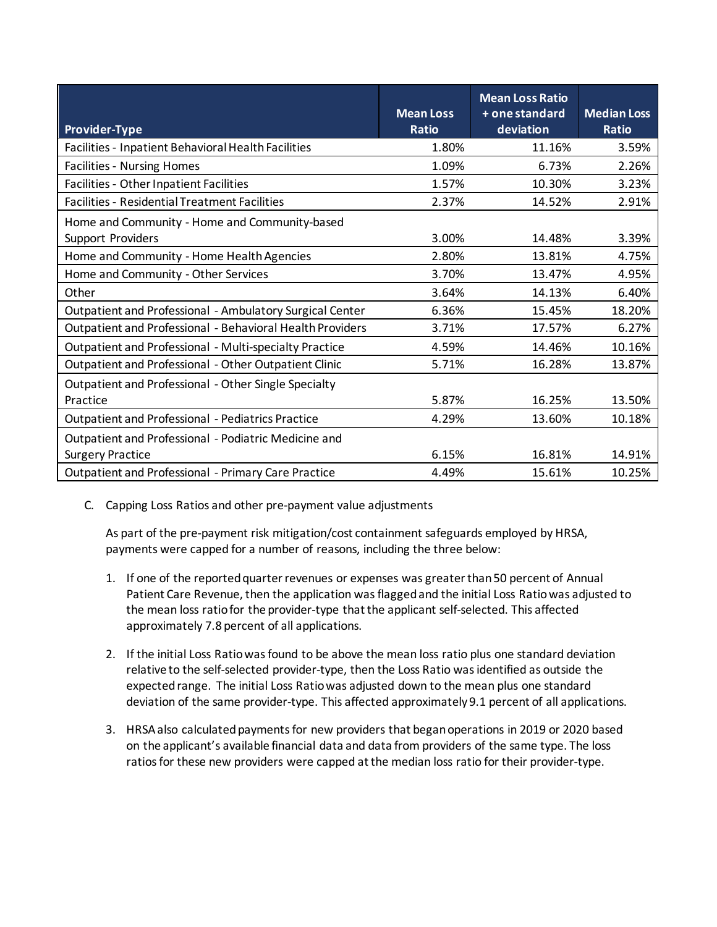|                                                            | <b>Mean Loss</b> | <b>Mean Loss Ratio</b><br>+ one standard | <b>Median Loss</b> |
|------------------------------------------------------------|------------------|------------------------------------------|--------------------|
| <b>Provider-Type</b>                                       | <b>Ratio</b>     | deviation                                | <b>Ratio</b>       |
| Facilities - Inpatient Behavioral Health Facilities        | 1.80%            | 11.16%                                   | 3.59%              |
| <b>Facilities - Nursing Homes</b>                          | 1.09%            | 6.73%                                    | 2.26%              |
| Facilities - Other Inpatient Facilities                    | 1.57%            | 10.30%                                   | 3.23%              |
| <b>Facilities - Residential Treatment Facilities</b>       | 2.37%            | 14.52%                                   | 2.91%              |
| Home and Community - Home and Community-based              |                  |                                          |                    |
| <b>Support Providers</b>                                   | 3.00%            | 14.48%                                   | 3.39%              |
| Home and Community - Home Health Agencies                  | 2.80%            | 13.81%                                   | 4.75%              |
| Home and Community - Other Services                        | 3.70%            | 13.47%                                   | 4.95%              |
| Other                                                      | 3.64%            | 14.13%                                   | 6.40%              |
| Outpatient and Professional - Ambulatory Surgical Center   | 6.36%            | 15.45%                                   | 18.20%             |
| Outpatient and Professional - Behavioral Health Providers  | 3.71%            | 17.57%                                   | 6.27%              |
| Outpatient and Professional - Multi-specialty Practice     | 4.59%            | 14.46%                                   | 10.16%             |
| Outpatient and Professional - Other Outpatient Clinic      | 5.71%            | 16.28%                                   | 13.87%             |
| Outpatient and Professional - Other Single Specialty       |                  |                                          |                    |
| Practice                                                   | 5.87%            | 16.25%                                   | 13.50%             |
| <b>Outpatient and Professional - Pediatrics Practice</b>   | 4.29%            | 13.60%                                   | 10.18%             |
| Outpatient and Professional - Podiatric Medicine and       |                  |                                          |                    |
| <b>Surgery Practice</b>                                    | 6.15%            | 16.81%                                   | 14.91%             |
| <b>Outpatient and Professional - Primary Care Practice</b> | 4.49%            | 15.61%                                   | 10.25%             |

C. Capping Loss Ratios and other pre-payment value adjustments

As part of the pre-payment risk mitigation/cost containment safeguards employed by HRSA, payments were capped for a number of reasons, including the three below:

- 1. If one of the reported quarter revenues or expenses was greater than 50 percent of Annual Patient Care Revenue, then the application was flagged and the initial Loss Ratio was adjusted to the mean loss ratio for the provider-type that the applicant self-selected. This affected approximately 7.8 percent of all applications.
- 2. If the initial Loss Ratio was found to be above the mean loss ratio plus one standard deviation relative to the self-selected provider-type, then the Loss Ratio was identified as outside the expected range. The initial Loss Ratio was adjusted down to the mean plus one standard deviation of the same provider-type. This affected approximately 9.1 percent of all applications.
- 3. HRSA also calculated payments for new providers that began operations in 2019 or 2020 based on the applicant's available financial data and data from providers of the same type. The loss ratios for these new providers were capped at the median loss ratio for their provider-type.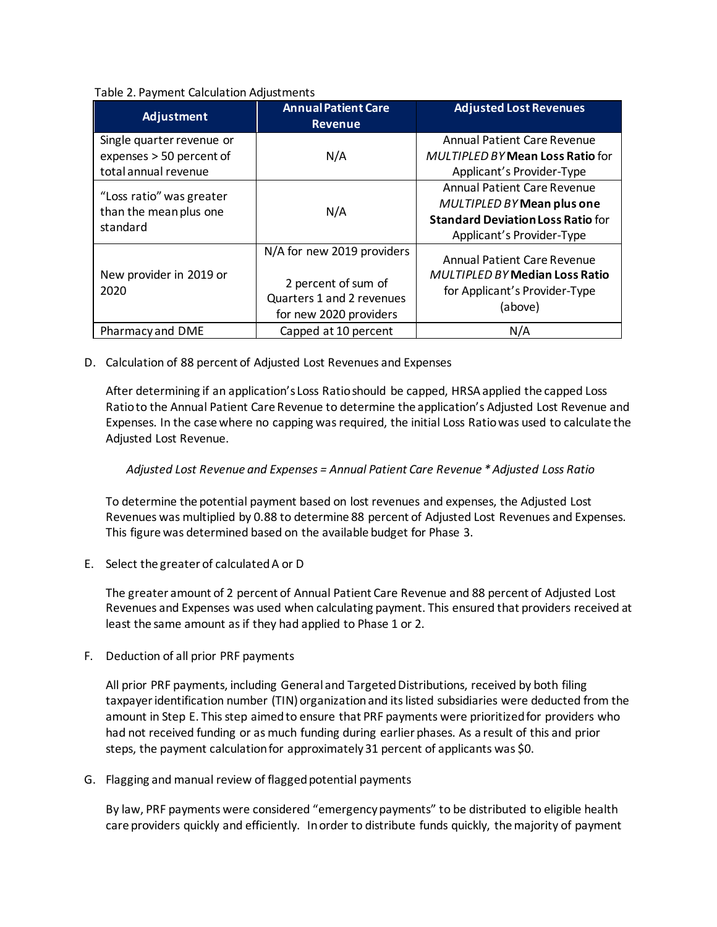### Table 2. Payment Calculation Adjustments

| Adjustment                                                                    | <b>Annual Patient Care</b><br><b>Revenue</b>                                                             | <b>Adjusted Lost Revenues</b>                                                                                                                    |
|-------------------------------------------------------------------------------|----------------------------------------------------------------------------------------------------------|--------------------------------------------------------------------------------------------------------------------------------------------------|
| Single quarter revenue or<br>expenses > 50 percent of<br>total annual revenue | N/A                                                                                                      | <b>Annual Patient Care Revenue</b><br><b>MULTIPLED BY Mean Loss Ratio for</b><br>Applicant's Provider-Type                                       |
| "Loss ratio" was greater<br>than the mean plus one<br>standard                | N/A                                                                                                      | <b>Annual Patient Care Revenue</b><br><b>MULTIPLED BY Mean plus one</b><br><b>Standard Deviation Loss Ratio for</b><br>Applicant's Provider-Type |
| New provider in 2019 or<br>2020                                               | N/A for new 2019 providers<br>2 percent of sum of<br>Quarters 1 and 2 revenues<br>for new 2020 providers | <b>Annual Patient Care Revenue</b><br><b>MULTIPLED BY Median Loss Ratio</b><br>for Applicant's Provider-Type<br>(above)                          |
| Pharmacy and DME                                                              | Capped at 10 percent                                                                                     | N/A                                                                                                                                              |

D. Calculation of 88 percent of Adjusted Lost Revenues and Expenses

After determining if an application's Loss Ratio should be capped, HRSA applied the capped Loss Ratio to the Annual Patient Care Revenue to determine the application's Adjusted Lost Revenue and Expenses. In the case where no capping was required, the initial Loss Ratio was used to calculate the Adjusted Lost Revenue.

# *Adjusted Lost Revenue and Expenses = Annual Patient Care Revenue \* Adjusted Loss Ratio*

To determine the potential payment based on lost revenues and expenses, the Adjusted Lost Revenues was multiplied by 0.88 to determine 88 percent of Adjusted Lost Revenues and Expenses. This figure was determined based on the available budget for Phase 3.

E. Select the greater of calculated A or D

The greater amount of 2 percent of Annual Patient Care Revenue and 88 percent of Adjusted Lost Revenues and Expenses was used when calculating payment. This ensured that providers received at least the same amount as if they had applied to Phase 1 or 2.

F. Deduction of all prior PRF payments

All prior PRF payments, including General and Targeted Distributions, received by both filing taxpayer identification number (TIN) organization and its listed subsidiaries were deducted from the amount in Step E. This step aimed to ensure that PRF payments were prioritized for providers who had not received funding or as much funding during earlier phases. As a result of this and prior steps, the payment calculation for approximately 31 percent of applicants was \$0.

G. Flagging and manual review of flagged potential payments

By law, PRF payments were considered "emergency payments" to be distributed to eligible health care providers quickly and efficiently. In order to distribute funds quickly, the majority of payment